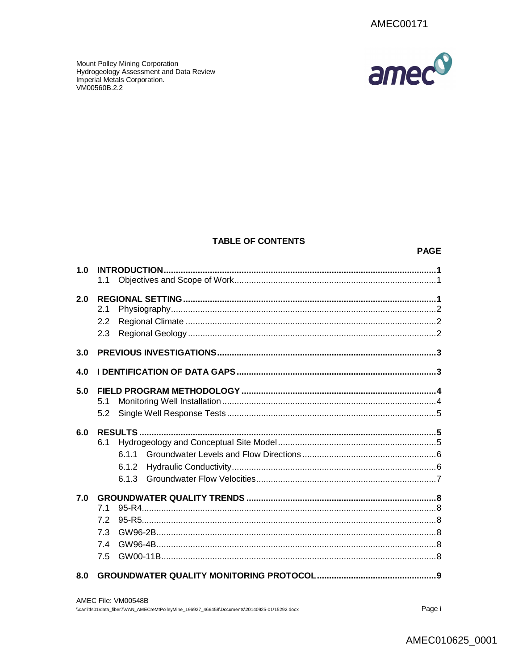amec<sup>o</sup>

Mount Polley Mining Corporation<br>Hydrogeology Assessment and Data Review<br>Imperial Metals Corporation. VM00560B.2.2

## **TABLE OF CONTENTS**

#### **PAGE**

| 1.0 | 1.1                                           |  |
|-----|-----------------------------------------------|--|
| 2.0 | 2.1<br>2.2<br>2.3                             |  |
| 3.0 |                                               |  |
| 4.0 |                                               |  |
| 5.0 | 5.1<br>5.2                                    |  |
| 6.0 | <b>RESULTS</b><br>6.1<br>611<br>6.1.2<br>6.13 |  |
| 7.0 | 7.1<br>7.2<br>7.3<br>7.4<br>7.5               |  |
|     |                                               |  |

| AMEC File: VM00548B                                                                            |
|------------------------------------------------------------------------------------------------|
| \\canlitfs01\data fiber7\VAN_AMECreMtPolleyMine_196927_466458\Documents\20140925-01\15292.docx |

Page i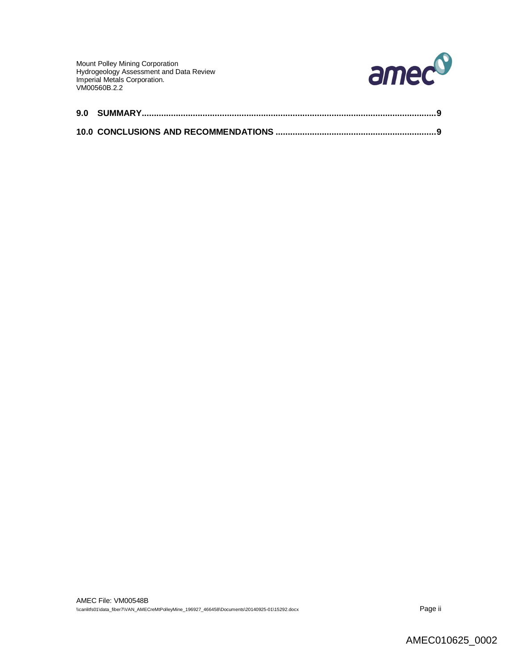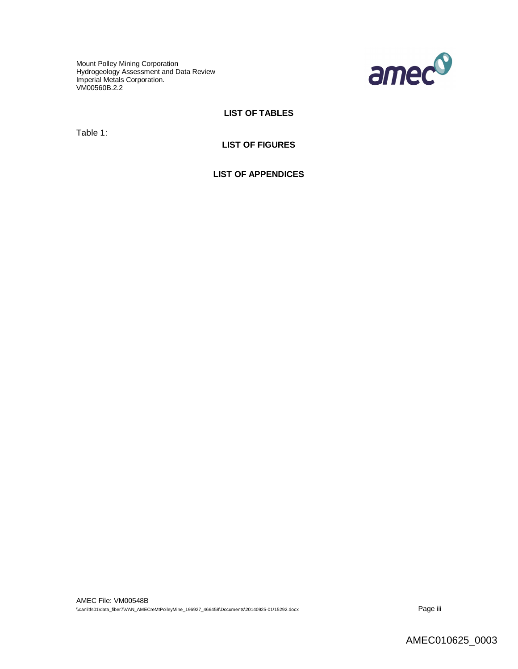Mount Polley Mining Corporation Hydrogeology Assessment and Data Review Imperial Metals Corporation. VM00560B.2.2



# **LIST OF TABLES**

Table 1:

# **LIST OF FIGURES**

**LIST OF APPENDICES**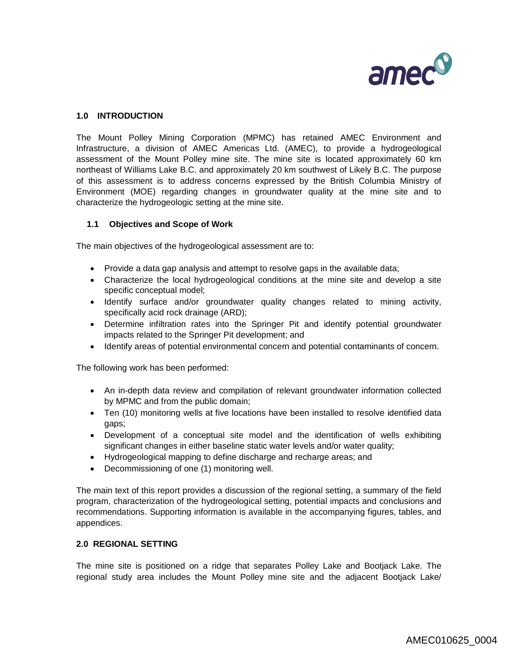

# **1.0 INTRODUCTION**

The Mount Polley Mining Corporation (MPMC) has retained AMEC Environment and Infrastructure, a division of AMEC Americas Ltd. (AMEC), to provide a hydrogeological assessment of the Mount Polley mine site. The mine site is located approximately 60 km northeast of Williams Lake B.C. and approximately 20 km southwest of Likely B.C. The purpose of this assessment is to address concerns expressed by the British Columbia Ministry of Environment (MOE) regarding changes in groundwater quality at the mine site and to characterize the hydrogeologic setting at the mine site.

#### **1.1 Objectives and Scope of Work**

The main objectives of the hydrogeological assessment are to:

- Provide a data gap analysis and attempt to resolve gaps in the available data;
- Characterize the local hydrogeological conditions at the mine site and develop a site specific conceptual model;
- Identify surface and/or groundwater quality changes related to mining activity, specifically acid rock drainage (ARD);
- Determine infiltration rates into the Springer Pit and identify potential groundwater impacts related to the Springer Pit development; and
- Identify areas of potential environmental concern and potential contaminants of concern.

The following work has been performed:

- An in-depth data review and compilation of relevant groundwater information collected by MPMC and from the public domain;
- Ten (10) monitoring wells at five locations have been installed to resolve identified data gaps;
- Development of a conceptual site model and the identification of wells exhibiting significant changes in either baseline static water levels and/or water quality;
- Hydrogeological mapping to define discharge and recharge areas; and
- Decommissioning of one (1) monitoring well.

The main text of this report provides a discussion of the regional setting, a summary of the field program, characterization of the hydrogeological setting, potential impacts and conclusions and recommendations. Supporting information is available in the accompanying figures, tables, and appendices.

#### **2.0 REGIONAL SETTING**

The mine site is positioned on a ridge that separates Polley Lake and Bootjack Lake. The regional study area includes the Mount Polley mine site and the adjacent Bootjack Lake/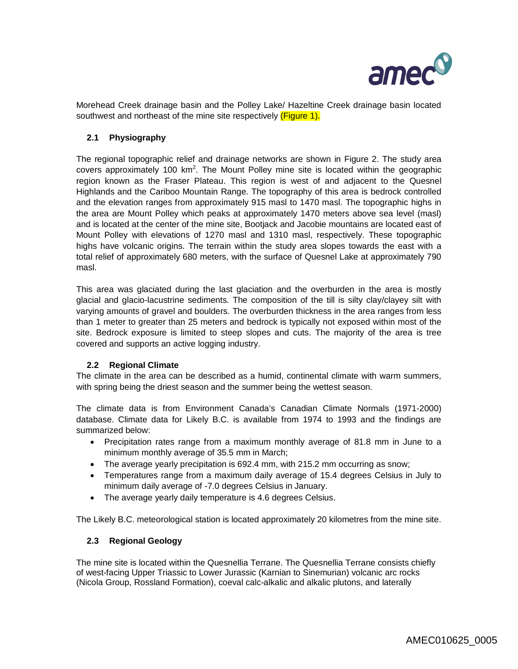

Morehead Creek drainage basin and the Polley Lake/ Hazeltine Creek drainage basin located southwest and northeast of the mine site respectively (Figure 1).

## **2.1 Physiography**

The regional topographic relief and drainage networks are shown in Figure 2. The study area covers approximately 100  $km^2$ . The Mount Polley mine site is located within the geographic region known as the Fraser Plateau. This region is west of and adjacent to the Quesnel Highlands and the Cariboo Mountain Range. The topography of this area is bedrock controlled and the elevation ranges from approximately 915 masl to 1470 masl. The topographic highs in the area are Mount Polley which peaks at approximately 1470 meters above sea level (masl) and is located at the center of the mine site, Bootjack and Jacobie mountains are located east of Mount Polley with elevations of 1270 masl and 1310 masl, respectively. These topographic highs have volcanic origins. The terrain within the study area slopes towards the east with a total relief of approximately 680 meters, with the surface of Quesnel Lake at approximately 790 masl.

This area was glaciated during the last glaciation and the overburden in the area is mostly glacial and glacio-lacustrine sediments. The composition of the till is silty clay/clayey silt with varying amounts of gravel and boulders. The overburden thickness in the area ranges from less than 1 meter to greater than 25 meters and bedrock is typically not exposed within most of the site. Bedrock exposure is limited to steep slopes and cuts. The majority of the area is tree covered and supports an active logging industry.

#### **2.2 Regional Climate**

The climate in the area can be described as a humid, continental climate with warm summers, with spring being the driest season and the summer being the wettest season.

The climate data is from Environment Canada's Canadian Climate Normals (1971-2000) database. Climate data for Likely B.C. is available from 1974 to 1993 and the findings are summarized below:

- Precipitation rates range from a maximum monthly average of 81.8 mm in June to a minimum monthly average of 35.5 mm in March;
- The average yearly precipitation is 692.4 mm, with 215.2 mm occurring as snow;
- Temperatures range from a maximum daily average of 15.4 degrees Celsius in July to minimum daily average of -7.0 degrees Celsius in January.
- The average yearly daily temperature is 4.6 degrees Celsius.

The Likely B.C. meteorological station is located approximately 20 kilometres from the mine site.

#### **2.3 Regional Geology**

The mine site is located within the Quesnellia Terrane. The Quesnellia Terrane consists chiefly of west-facing Upper Triassic to Lower Jurassic (Karnian to Sinemurian) volcanic arc rocks (Nicola Group, Rossland Formation), coeval calc-alkalic and alkalic plutons, and laterally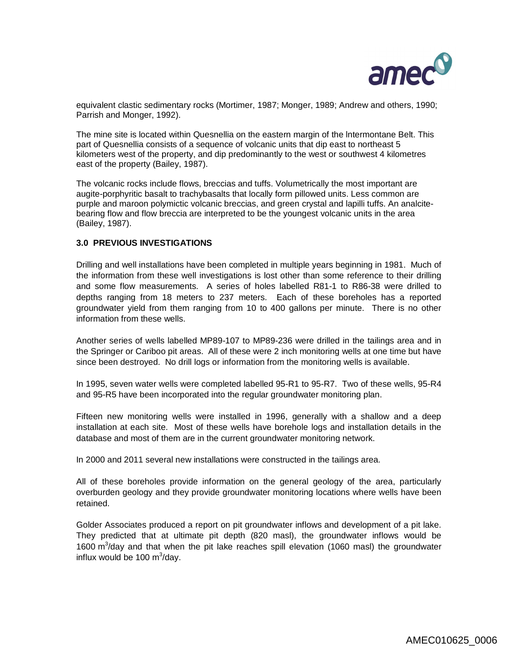

equivalent clastic sedimentary rocks (Mortimer, 1987; Monger, 1989; Andrew and others, 1990; Parrish and Monger, 1992).

The mine site is located within Quesnellia on the eastern margin of the lntermontane Belt. This part of Quesnellia consists of a sequence of volcanic units that dip east to northeast 5 kilometers west of the property, and dip predominantly to the west or southwest 4 kilometres east of the property (Bailey, 1987).

The volcanic rocks include flows, breccias and tuffs. Volumetrically the most important are augite-porphyritic basalt to trachybasalts that locally form pillowed units. Less common are purple and maroon polymictic volcanic breccias, and green crystal and lapilli tuffs. An analcitebearing flow and flow breccia are interpreted to be the youngest volcanic units in the area (Bailey, 1987).

## **3.0 PREVIOUS INVESTIGATIONS**

Drilling and well installations have been completed in multiple years beginning in 1981. Much of the information from these well investigations is lost other than some reference to their drilling and some flow measurements. A series of holes labelled R81-1 to R86-38 were drilled to depths ranging from 18 meters to 237 meters. Each of these boreholes has a reported groundwater yield from them ranging from 10 to 400 gallons per minute. There is no other information from these wells.

Another series of wells labelled MP89-107 to MP89-236 were drilled in the tailings area and in the Springer or Cariboo pit areas. All of these were 2 inch monitoring wells at one time but have since been destroyed. No drill logs or information from the monitoring wells is available.

In 1995, seven water wells were completed labelled 95-R1 to 95-R7. Two of these wells, 95-R4 and 95-R5 have been incorporated into the regular groundwater monitoring plan.

Fifteen new monitoring wells were installed in 1996, generally with a shallow and a deep installation at each site. Most of these wells have borehole logs and installation details in the database and most of them are in the current groundwater monitoring network.

In 2000 and 2011 several new installations were constructed in the tailings area.

All of these boreholes provide information on the general geology of the area, particularly overburden geology and they provide groundwater monitoring locations where wells have been retained.

Golder Associates produced a report on pit groundwater inflows and development of a pit lake. They predicted that at ultimate pit depth (820 masl), the groundwater inflows would be 1600 m<sup>3</sup>/day and that when the pit lake reaches spill elevation (1060 masl) the groundwater influx would be 100  $\text{m}^3$ /day.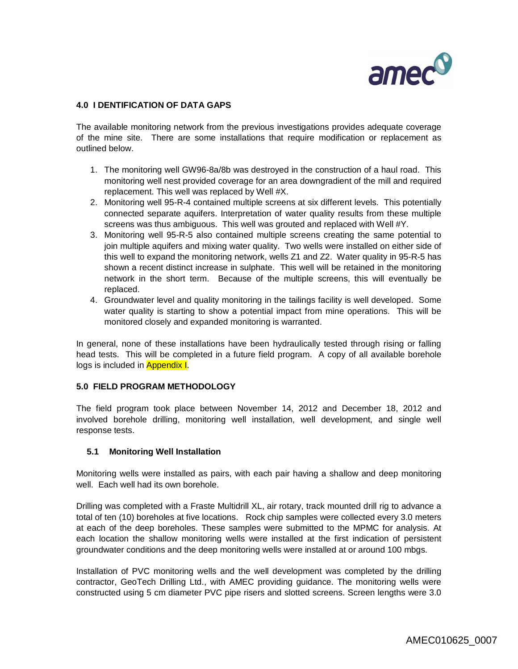

## **4.0 I DENTIFICATION OF DATA GAPS**

The available monitoring network from the previous investigations provides adequate coverage of the mine site. There are some installations that require modification or replacement as outlined below.

- 1. The monitoring well GW96-8a/8b was destroyed in the construction of a haul road. This monitoring well nest provided coverage for an area downgradient of the mill and required replacement. This well was replaced by Well #X.
- 2. Monitoring well 95-R-4 contained multiple screens at six different levels. This potentially connected separate aquifers. Interpretation of water quality results from these multiple screens was thus ambiguous. This well was grouted and replaced with Well #Y.
- 3. Monitoring well 95-R-5 also contained multiple screens creating the same potential to join multiple aquifers and mixing water quality. Two wells were installed on either side of this well to expand the monitoring network, wells Z1 and Z2. Water quality in 95-R-5 has shown a recent distinct increase in sulphate. This well will be retained in the monitoring network in the short term. Because of the multiple screens, this will eventually be replaced.
- 4. Groundwater level and quality monitoring in the tailings facility is well developed. Some water quality is starting to show a potential impact from mine operations. This will be monitored closely and expanded monitoring is warranted.

In general, none of these installations have been hydraulically tested through rising or falling head tests. This will be completed in a future field program. A copy of all available borehole logs is included in **Appendix I.** 

#### **5.0 FIELD PROGRAM METHODOLOGY**

The field program took place between November 14, 2012 and December 18, 2012 and involved borehole drilling, monitoring well installation, well development, and single well response tests.

#### **5.1 Monitoring Well Installation**

Monitoring wells were installed as pairs, with each pair having a shallow and deep monitoring well. Each well had its own borehole.

Drilling was completed with a Fraste Multidrill XL, air rotary, track mounted drill rig to advance a total of ten (10) boreholes at five locations. Rock chip samples were collected every 3.0 meters at each of the deep boreholes. These samples were submitted to the MPMC for analysis. At each location the shallow monitoring wells were installed at the first indication of persistent groundwater conditions and the deep monitoring wells were installed at or around 100 mbgs.

Installation of PVC monitoring wells and the well development was completed by the drilling contractor, GeoTech Drilling Ltd., with AMEC providing guidance. The monitoring wells were constructed using 5 cm diameter PVC pipe risers and slotted screens. Screen lengths were 3.0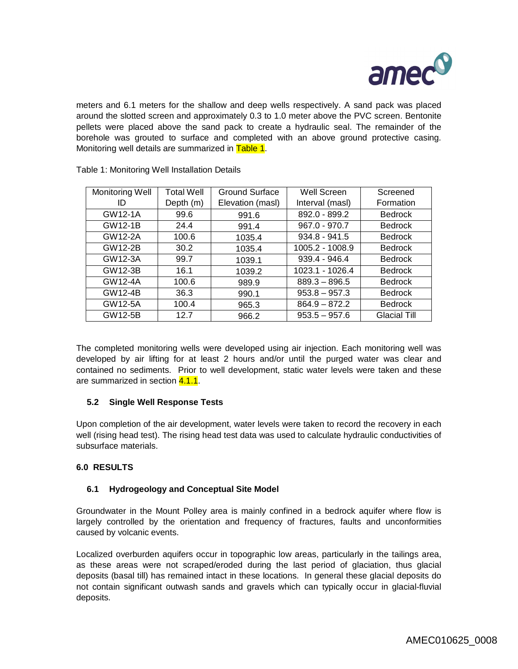

meters and 6.1 meters for the shallow and deep wells respectively. A sand pack was placed around the slotted screen and approximately 0.3 to 1.0 meter above the PVC screen. Bentonite pellets were placed above the sand pack to create a hydraulic seal. The remainder of the borehole was grouted to surface and completed with an above ground protective casing. Monitoring well details are summarized in Table 1.

| <b>Monitoring Well</b> | <b>Total Well</b> | Ground Surface   | Well Screen     | Screened            |
|------------------------|-------------------|------------------|-----------------|---------------------|
| ID                     | Depth (m)         | Elevation (masl) | Interval (masl) | Formation           |
| GW12-1A                | 99.6              | 991.6            | 892.0 - 899.2   | <b>Bedrock</b>      |
| GW12-1B                | 24.4              | 991.4            | $967.0 - 970.7$ | <b>Bedrock</b>      |
| GW12-2A                | 100.6             | 1035.4           | $934.8 - 941.5$ | <b>Bedrock</b>      |
| GW12-2B                | 30.2              | 1035.4           | 1005.2 - 1008.9 | <b>Bedrock</b>      |
| GW12-3A                | 99.7              | 1039.1           | 939.4 - 946.4   | <b>Bedrock</b>      |
| GW12-3B                | 16.1              | 1039.2           | 1023.1 - 1026.4 | <b>Bedrock</b>      |
| GW12-4A                | 100.6             | 989.9            | $889.3 - 896.5$ | <b>Bedrock</b>      |
| GW12-4B                | 36.3              | 990.1            | $953.8 - 957.3$ | <b>Bedrock</b>      |
| GW12-5A                | 100.4             | 965.3            | $864.9 - 872.2$ | <b>Bedrock</b>      |
| GW12-5B                | 12.7              | 966.2            | $953.5 - 957.6$ | <b>Glacial Till</b> |

Table 1: Monitoring Well Installation Details

The completed monitoring wells were developed using air injection. Each monitoring well was developed by air lifting for at least 2 hours and/or until the purged water was clear and contained no sediments. Prior to well development, static water levels were taken and these are summarized in section 4.1.1.

## **5.2 Single Well Response Tests**

Upon completion of the air development, water levels were taken to record the recovery in each well (rising head test). The rising head test data was used to calculate hydraulic conductivities of subsurface materials.

# **6.0 RESULTS**

## **6.1 Hydrogeology and Conceptual Site Model**

Groundwater in the Mount Polley area is mainly confined in a bedrock aquifer where flow is largely controlled by the orientation and frequency of fractures, faults and unconformities caused by volcanic events.

Localized overburden aquifers occur in topographic low areas, particularly in the tailings area, as these areas were not scraped/eroded during the last period of glaciation, thus glacial deposits (basal till) has remained intact in these locations. In general these glacial deposits do not contain significant outwash sands and gravels which can typically occur in glacial-fluvial deposits.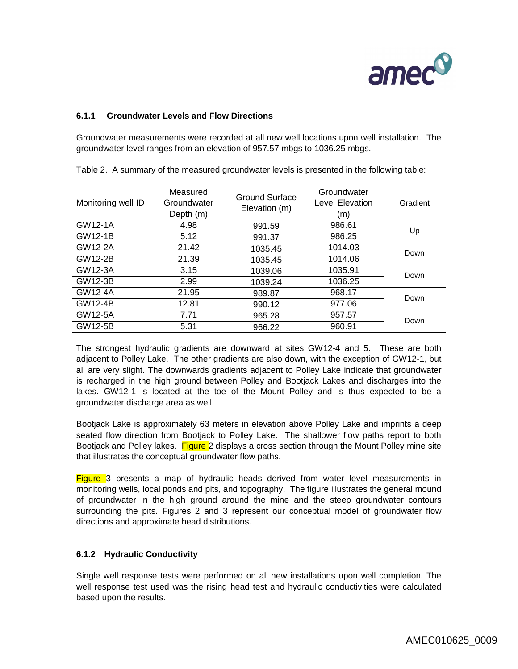

# **6.1.1 Groundwater Levels and Flow Directions**

Groundwater measurements were recorded at all new well locations upon well installation. The groundwater level ranges from an elevation of 957.57 mbgs to 1036.25 mbgs.

| Monitoring well ID | Measured<br>Groundwater<br>Depth (m) | Ground Surface<br>Elevation (m) | Groundwater<br>Level Elevation<br>(m) | Gradient |
|--------------------|--------------------------------------|---------------------------------|---------------------------------------|----------|
| GW12-1A            | 4.98                                 | 991.59                          | 986.61                                | Up       |
| GW12-1B            | 5.12                                 | 991.37                          | 986.25                                |          |
| GW12-2A            | 21.42                                | 1035.45                         | 1014.03                               | Down     |
| GW12-2B            | 21.39                                | 1035.45                         | 1014.06                               |          |
| GW12-3A            | 3.15                                 | 1039.06                         | 1035.91                               | Down     |
| GW12-3B            | 2.99                                 | 1039.24                         | 1036.25                               |          |
| GW12-4A            | 21.95                                | 989.87                          | 968.17                                | Down     |
| GW12-4B            | 12.81                                | 990.12                          | 977.06                                |          |
| GW12-5A            | 7.71                                 | 965.28                          | 957.57                                | Down     |
| GW12-5B            | 5.31                                 | 966.22                          | 960.91                                |          |

Table 2. A summary of the measured groundwater levels is presented in the following table:

The strongest hydraulic gradients are downward at sites GW12-4 and 5. These are both adjacent to Polley Lake. The other gradients are also down, with the exception of GW12-1, but all are very slight. The downwards gradients adjacent to Polley Lake indicate that groundwater is recharged in the high ground between Polley and Bootjack Lakes and discharges into the lakes. GW12-1 is located at the toe of the Mount Polley and is thus expected to be a groundwater discharge area as well.

Bootjack Lake is approximately 63 meters in elevation above Polley Lake and imprints a deep seated flow direction from Bootjack to Polley Lake. The shallower flow paths report to both Bootjack and Polley lakes. Figure 2 displays a cross section through the Mount Polley mine site that illustrates the conceptual groundwater flow paths.

**Figure** 3 presents a map of hydraulic heads derived from water level measurements in monitoring wells, local ponds and pits, and topography. The figure illustrates the general mound of groundwater in the high ground around the mine and the steep groundwater contours surrounding the pits. Figures 2 and 3 represent our conceptual model of groundwater flow directions and approximate head distributions.

## **6.1.2 Hydraulic Conductivity**

Single well response tests were performed on all new installations upon well completion. The well response test used was the rising head test and hydraulic conductivities were calculated based upon the results.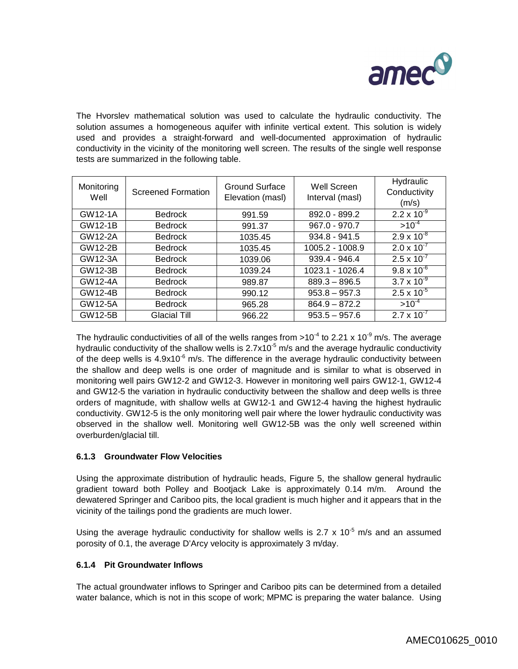

The Hvorslev mathematical solution was used to calculate the hydraulic conductivity. The solution assumes a homogeneous aquifer with infinite vertical extent. This solution is widely used and provides a straight-forward and well-documented approximation of hydraulic conductivity in the vicinity of the monitoring well screen. The results of the single well response tests are summarized in the following table.

| Monitoring<br>Well | <b>Screened Formation</b> | Ground Surface<br>Elevation (masl) | Well Screen<br>Interval (masl) | Hydraulic<br>Conductivity<br>(m/s) |
|--------------------|---------------------------|------------------------------------|--------------------------------|------------------------------------|
| GW12-1A            | <b>Bedrock</b>            | 991.59                             | 892.0 - 899.2                  | $2.2 \times 10^{-9}$               |
| <b>GW12-1B</b>     | <b>Bedrock</b>            | 991.37                             | $967.0 - 970.7$                | $>10^{-4}$                         |
| GW12-2A            | <b>Bedrock</b>            | 1035.45                            | $934.8 - 941.5$                | $2.9 \times 10^{-8}$               |
| <b>GW12-2B</b>     | <b>Bedrock</b>            | 1035.45                            | 1005.2 - 1008.9                | $2.0 \times 10^{-7}$               |
| GW12-3A            | <b>Bedrock</b>            | 1039.06                            | $939.4 - 946.4$                | $2.5 \times 10^{-7}$               |
| GW12-3B            | <b>Bedrock</b>            | 1039.24                            | 1023.1 - 1026.4                | $9.8 \times 10^{-6}$               |
| GW12-4A            | <b>Bedrock</b>            | 989.87                             | $889.3 - 896.5$                | $3.7 \times 10^{-9}$               |
| GW12-4B            | <b>Bedrock</b>            | 990.12                             | $953.8 - 957.3$                | $2.5 \times 10^{-5}$               |
| GW12-5A            | <b>Bedrock</b>            | 965.28                             | $864.9 - 872.2$                | $>10^{-4}$                         |
| GW12-5B            | Glacial Till              | 966.22                             | $953.5 - 957.6$                | $2.7 \times 10^{-7}$               |

The hydraulic conductivities of all of the wells ranges from >10<sup>-4</sup> to 2.21 x 10<sup>-9</sup> m/s. The average hydraulic conductivity of the shallow wells is  $2.7x10^{-5}$  m/s and the average hydraulic conductivity of the deep wells is  $4.9x10^{-6}$  m/s. The difference in the average hydraulic conductivity between the shallow and deep wells is one order of magnitude and is similar to what is observed in monitoring well pairs GW12-2 and GW12-3. However in monitoring well pairs GW12-1, GW12-4 and GW12-5 the variation in hydraulic conductivity between the shallow and deep wells is three orders of magnitude, with shallow wells at GW12-1 and GW12-4 having the highest hydraulic conductivity. GW12-5 is the only monitoring well pair where the lower hydraulic conductivity was observed in the shallow well. Monitoring well GW12-5B was the only well screened within overburden/glacial till.

## **6.1.3 Groundwater Flow Velocities**

Using the approximate distribution of hydraulic heads, Figure 5, the shallow general hydraulic gradient toward both Polley and Bootjack Lake is approximately 0.14 m/m. Around the dewatered Springer and Cariboo pits, the local gradient is much higher and it appears that in the vicinity of the tailings pond the gradients are much lower.

Using the average hydraulic conductivity for shallow wells is 2.7 x 10<sup>-5</sup> m/s and an assumed porosity of 0.1, the average D'Arcy velocity is approximately 3 m/day.

## **6.1.4 Pit Groundwater Inflows**

The actual groundwater inflows to Springer and Cariboo pits can be determined from a detailed water balance, which is not in this scope of work; MPMC is preparing the water balance. Using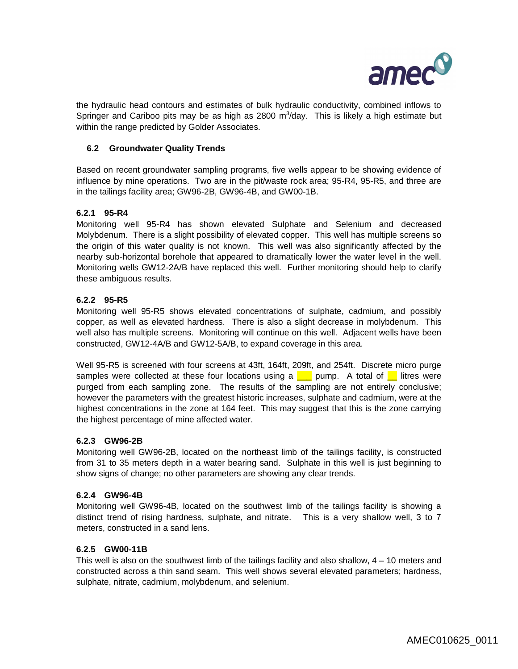

the hydraulic head contours and estimates of bulk hydraulic conductivity, combined inflows to Springer and Cariboo pits may be as high as 2800  $m^3$ /day. This is likely a high estimate but within the range predicted by Golder Associates.

## **6.2 Groundwater Quality Trends**

Based on recent groundwater sampling programs, five wells appear to be showing evidence of influence by mine operations. Two are in the pit/waste rock area; 95-R4, 95-R5, and three are in the tailings facility area; GW96-2B, GW96-4B, and GW00-1B.

## **6.2.1 95-R4**

Monitoring well 95-R4 has shown elevated Sulphate and Selenium and decreased Molybdenum. There is a slight possibility of elevated copper. This well has multiple screens so the origin of this water quality is not known. This well was also significantly affected by the nearby sub-horizontal borehole that appeared to dramatically lower the water level in the well. Monitoring wells GW12-2A/B have replaced this well. Further monitoring should help to clarify these ambiguous results.

## **6.2.2 95-R5**

Monitoring well 95-R5 shows elevated concentrations of sulphate, cadmium, and possibly copper, as well as elevated hardness. There is also a slight decrease in molybdenum. This well also has multiple screens. Monitoring will continue on this well. Adjacent wells have been constructed, GW12-4A/B and GW12-5A/B, to expand coverage in this area.

Well 95-R5 is screened with four screens at 43ft, 164ft, 209ft, and 254ft. Discrete micro purge samples were collected at these four locations using a  $\Box$  pump. A total of  $\Box$  litres were purged from each sampling zone. The results of the sampling are not entirely conclusive; however the parameters with the greatest historic increases, sulphate and cadmium, were at the highest concentrations in the zone at 164 feet. This may suggest that this is the zone carrying the highest percentage of mine affected water.

#### **6.2.3 GW96-2B**

Monitoring well GW96-2B, located on the northeast limb of the tailings facility, is constructed from 31 to 35 meters depth in a water bearing sand. Sulphate in this well is just beginning to show signs of change; no other parameters are showing any clear trends.

#### **6.2.4 GW96-4B**

Monitoring well GW96-4B, located on the southwest limb of the tailings facility is showing a distinct trend of rising hardness, sulphate, and nitrate. This is a very shallow well, 3 to 7 meters, constructed in a sand lens.

#### **6.2.5 GW00-11B**

This well is also on the southwest limb of the tailings facility and also shallow, 4 – 10 meters and constructed across a thin sand seam. This well shows several elevated parameters; hardness, sulphate, nitrate, cadmium, molybdenum, and selenium.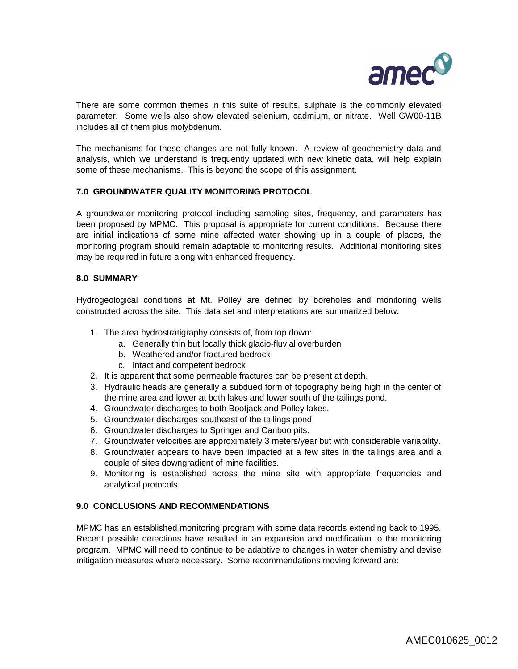

There are some common themes in this suite of results, sulphate is the commonly elevated parameter. Some wells also show elevated selenium, cadmium, or nitrate. Well GW00-11B includes all of them plus molybdenum.

The mechanisms for these changes are not fully known. A review of geochemistry data and analysis, which we understand is frequently updated with new kinetic data, will help explain some of these mechanisms. This is beyond the scope of this assignment.

## **7.0 GROUNDWATER QUALITY MONITORING PROTOCOL**

A groundwater monitoring protocol including sampling sites, frequency, and parameters has been proposed by MPMC. This proposal is appropriate for current conditions. Because there are initial indications of some mine affected water showing up in a couple of places, the monitoring program should remain adaptable to monitoring results. Additional monitoring sites may be required in future along with enhanced frequency.

#### **8.0 SUMMARY**

Hydrogeological conditions at Mt. Polley are defined by boreholes and monitoring wells constructed across the site. This data set and interpretations are summarized below.

- 1. The area hydrostratigraphy consists of, from top down:
	- a. Generally thin but locally thick glacio-fluvial overburden
	- b. Weathered and/or fractured bedrock
	- c. Intact and competent bedrock
- 2. It is apparent that some permeable fractures can be present at depth.
- 3. Hydraulic heads are generally a subdued form of topography being high in the center of the mine area and lower at both lakes and lower south of the tailings pond.
- 4. Groundwater discharges to both Bootjack and Polley lakes.
- 5. Groundwater discharges southeast of the tailings pond.
- 6. Groundwater discharges to Springer and Cariboo pits.
- 7. Groundwater velocities are approximately 3 meters/year but with considerable variability.
- 8. Groundwater appears to have been impacted at a few sites in the tailings area and a couple of sites downgradient of mine facilities.
- 9. Monitoring is established across the mine site with appropriate frequencies and analytical protocols.

#### **9.0 CONCLUSIONS AND RECOMMENDATIONS**

MPMC has an established monitoring program with some data records extending back to 1995. Recent possible detections have resulted in an expansion and modification to the monitoring program. MPMC will need to continue to be adaptive to changes in water chemistry and devise mitigation measures where necessary. Some recommendations moving forward are: